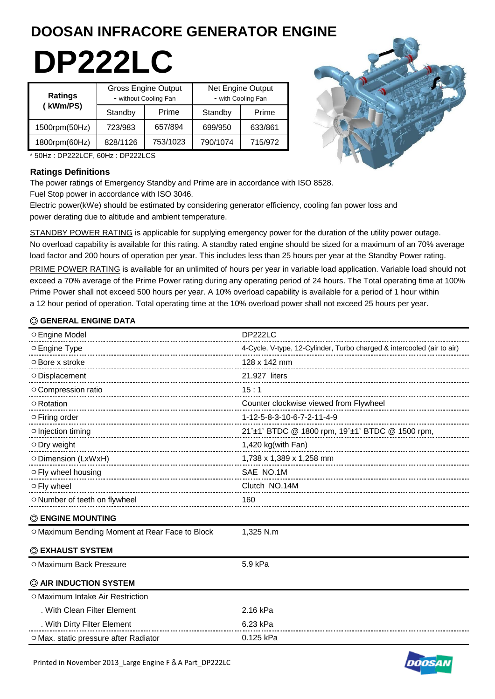# **DOOSAN INFRACORE GENERATOR ENGINE**

# **DP222LC**

| <b>Ratings</b> |          | <b>Gross Engine Output</b><br>- without Cooling Fan |          | Net Engine Output<br>- with Cooling Fan |  |  |
|----------------|----------|-----------------------------------------------------|----------|-----------------------------------------|--|--|
| (kWm/PS)       | Standby  | Prime                                               | Standby  |                                         |  |  |
| 1500rpm(50Hz)  | 723/983  | 657/894                                             | 699/950  | 633/861                                 |  |  |
| 1800rpm(60Hz)  | 828/1126 | 753/1023                                            | 790/1074 | 715/972                                 |  |  |



\* 50Hz : DP222LCF, 60Hz : DP222LCS

#### **Ratings Definitions**

The power ratings of Emergency Standby and Prime are in accordance with ISO 8528. Fuel Stop power in accordance with ISO 3046.

Electric power(kWe) should be estimated by considering generator efficiency, cooling fan power loss and power derating due to altitude and ambient temperature.

STANDBY POWER RATING is applicable for supplying emergency power for the duration of the utility power outage. No overload capability is available for this rating. A standby rated engine should be sized for a maximum of an 70% average load factor and 200 hours of operation per year. This includes less than 25 hours per year at the Standby Power rating.

PRIME POWER RATING is available for an unlimited of hours per year in variable load application. Variable load should not exceed a 70% average of the Prime Power rating during any operating period of 24 hours. The Total operating time at 100% Prime Power shall not exceed 500 hours per year. A 10% overload capability is available for a period of 1 hour within a 12 hour period of operation. Total operating time at the 10% overload power shall not exceed 25 hours per year.

### ◎ **GENERAL ENGINE DATA**

| ○ Engine Model                                 | DP222LC                                                                |
|------------------------------------------------|------------------------------------------------------------------------|
| $\circ$ Engine Type                            | 4-Cycle, V-type, 12-Cylinder, Turbo charged & intercooled (air to air) |
| ○ Bore x stroke                                | 128 x 142 mm                                                           |
| O Displacement                                 | 21.927 liters                                                          |
| ○ Compression ratio                            | 15:1                                                                   |
| $\circ$ Rotation                               | Counter clockwise viewed from Flywheel                                 |
| ○ Firing order                                 | 1-12-5-8-3-10-6-7-2-11-4-9                                             |
| ○ Injection timing                             | 21°±1° BTDC @ 1800 rpm, 19°±1° BTDC @ 1500 rpm,                        |
| ○ Dry weight                                   | 1,420 kg(with Fan)                                                     |
|                                                | 1,738 x 1,389 x 1,258 mm                                               |
| ○ Fly wheel housing                            | SAE NO.1M                                                              |
| O Fly wheel                                    | Clutch NO.14M                                                          |
| O Number of teeth on flywheel                  | 160                                                                    |
| <b>C ENGINE MOUNTING</b>                       |                                                                        |
| O Maximum Bending Moment at Rear Face to Block | 1,325 N.m                                                              |
| © EXHAUST SYSTEM                               |                                                                        |
| O Maximum Back Pressure                        | 5.9 kPa                                                                |
| C AIR INDUCTION SYSTEM                         |                                                                        |
| O Maximum Intake Air Restriction               |                                                                        |
| . With Clean Filter Element                    | 2.16 kPa                                                               |
| . With Dirty Filter Element                    | 6.23 kPa                                                               |
| ○ Max. static pressure after Radiator          | 0.125 kPa                                                              |



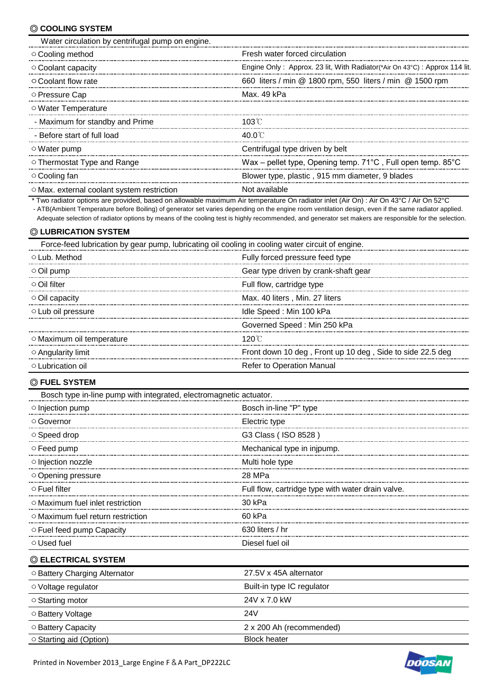#### ◎ **COOLING SYSTEM**

| Water circulation by centrifugal pump on engine. |                                                                                  |
|--------------------------------------------------|----------------------------------------------------------------------------------|
| ○ Cooling method                                 | Fresh water forced circulation                                                   |
| $\circ$ Coolant capacity                         | Engine Only: Approx. 23 lit, With Radiator (*Air On 43°C): Approx 114 lit.       |
| ○ Coolant flow rate                              | 660 liters / min @ 1800 rpm, 550 liters / min @ 1500 rpm                         |
| ○ Pressure Cap                                   | Max. 49 kPa                                                                      |
| ○ Water Temperature                              |                                                                                  |
| - Maximum for standby and Prime                  | 103 C                                                                            |
| - Before start of full load                      | 40.0 C                                                                           |
| ○ Water pump                                     | Centrifugal type driven by belt                                                  |
| $\circ$ Thermostat Type and Range                | Wax – pellet type, Opening temp. $71^{\circ}$ C, Full open temp. 85 $^{\circ}$ C |
| ⊙ Cooling fan                                    | Blower type, plastic, 915 mm diameter, 9 blades                                  |
| $\circ$ Max. external coolant system restriction | Not available                                                                    |

\* Two radiator options are provided, based on allowable maximum Air temperature On radiator inlet (Air On) : Air On 43°C / Air On 52°C

- ATB(Ambient Temperature before Boiling) of generator set varies depending on the engine room ventilation design, even if the same radiator applied.

Adequate selection of radiator options by means of the cooling test is highly recommended, and generator set makers are responsible for the selection.

# ◎ **LUBRICATION SYSTEM**

| Force-feed lubrication by gear pump, lubricating oil cooling in cooling water circuit of engine. |                                                           |  |  |
|--------------------------------------------------------------------------------------------------|-----------------------------------------------------------|--|--|
| ⊙Lub. Method                                                                                     | Fully forced pressure feed type                           |  |  |
| $\circ$ Oil pump                                                                                 | Gear type driven by crank-shaft gear                      |  |  |
| $\circ$ Oil filter                                                                               | Full flow, cartridge type                                 |  |  |
| $\circ$ Oil capacity                                                                             | Max. 40 liters, Min. 27 liters                            |  |  |
| $\circ$ Lub oil pressure                                                                         | Idle Speed: Min 100 kPa                                   |  |  |
|                                                                                                  | Governed Speed: Min 250 kPa                               |  |  |
| ○ Maximum oil temperature                                                                        | 120 C                                                     |  |  |
| $\circ$ Angularity limit                                                                         | Front down 10 deg, Front up 10 deg, Side to side 22.5 deg |  |  |
| O Lubrication oil                                                                                | Refer to Operation Manual                                 |  |  |

#### ◎ **FUEL SYSTEM**

| Bosch type in-line pump with integrated, electromagnetic actuator. |                                                   |
|--------------------------------------------------------------------|---------------------------------------------------|
| o Injection pump                                                   | Bosch in-line "P" type                            |
| ○ Governor                                                         | Electric type                                     |
| $\circ$ Speed drop                                                 | G3 Class (ISO 8528)                               |
| ○ Feed pump                                                        | Mechanical type in injpump.                       |
| o Injection nozzle                                                 | Multi hole type                                   |
| Opening pressure                                                   | 28 MPa                                            |
| ○ Fuel filter                                                      | Full flow, cartridge type with water drain valve. |
| O Maximum fuel inlet restriction                                   | 30 kPa                                            |
| O Maximum fuel return restriction                                  | 60 kPa                                            |
| ○ Fuel feed pump Capacity                                          | 630 liters / hr                                   |
| O Used fuel                                                        | Diesel fuel oil                                   |
| © ELECTRICAL SYSTEM                                                |                                                   |
| O Battery Charging Alternator                                      | 27.5V x 45A alternator                            |
| ○ Voltage regulator                                                | Built-in type IC regulator                        |
| ○ Starting motor                                                   | 24V x 7.0 kW                                      |
| ○ Battery Voltage                                                  | 24 <sub>V</sub>                                   |
| O Battery Capacity                                                 | 2 x 200 Ah (recommended)                          |
| ○ Starting aid (Option)                                            | <b>Block heater</b>                               |

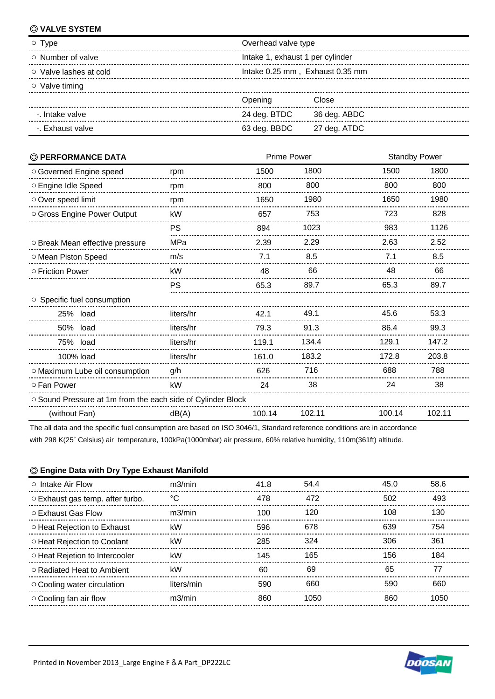### ◎ **VALVE SYSTEM**

| I ype                        | Overhead valve type              |              |  |
|------------------------------|----------------------------------|--------------|--|
| $\circ$ Number of valve      | Intake 1, exhaust 1 per cylinder |              |  |
| $\circ$ Valve lashes at cold | Intake 0.25 mm, Exhaust 0.35 mm  |              |  |
| ○ Valve timing               |                                  |              |  |
|                              | )pening                          | :Inse        |  |
| -. Intake valve              | 24 deg. BTDC                     | 36 deg. ABDC |  |
| -. Exhaust valve             | 63 deg. BBDC                     | 27 deg. ATDC |  |

| © PERFORMANCE DATA                                          | <b>Prime Power</b> |        |        | <b>Standby Power</b> |        |
|-------------------------------------------------------------|--------------------|--------|--------|----------------------|--------|
| ○ Governed Engine speed                                     | rpm                | 1500   | 1800   | 1500                 | 1800   |
| ○ Engine Idle Speed                                         | rpm                | 800    | 800    | 800                  | 800    |
| Over speed limit                                            | rpm                | 1650   | 1980   | 1650                 | 1980   |
| O Gross Engine Power Output                                 | kW                 | 657    | 753    | 723                  | 828    |
|                                                             | PS                 | 894    | 1023   | 983                  | 1126   |
| O Break Mean effective pressure                             | MPa                | 2.39   | 2.29   | 2.63                 | 2.52   |
| O Mean Piston Speed                                         | m/s                | 7.1    | 8.5    | 7.1                  | 8.5    |
| ○ Friction Power                                            | kW                 | 48     | 66     | 48                   | 66     |
|                                                             | PS                 | 65.3   | 89.7   | 65.3                 | 89.7   |
| ○ Specific fuel consumption                                 |                    |        |        |                      |        |
| 25% load                                                    | liters/hr          | 42.1   | 49.1   | 45.6                 | 53.3   |
| 50% load                                                    | liters/hr          | 79.3   | 91.3   | 86.4                 | 99.3   |
| 75% load                                                    | liters/hr          | 119.1  | 134.4  | 129.1                | 147.2  |
| 100% load                                                   | liters/hr          | 161.0  | 183.2  | 172.8                | 203.8  |
| O Maximum Lube oil consumption                              | g/h                | 626    | 716    | 688                  | 788    |
| ○ Fan Power                                                 | kW                 | 24     | 38     | 24                   | 38     |
| O Sound Pressure at 1m from the each side of Cylinder Block |                    |        |        |                      |        |
| (without Fan)                                               | dB(A)              | 100.14 | 102.11 | 100.14               | 102.11 |

The all data and the specific fuel consumption are based on ISO 3046/1, Standard reference conditions are in accordance

with 298 K(25˚ Celsius) air temperature, 100kPa(1000mbar) air pressure, 60% relative humidity, 110m(361ft) altitude.

## ◎ **Engine Data with Dry Type Exhaust Manifold**

| $\circ$ Intake Air Flow                | m3/min     | 41 R | 54 4 |     | 58 R |
|----------------------------------------|------------|------|------|-----|------|
| $\circ$ Exhaust gas temp. after turbo. |            | 478  | 472  | 502 |      |
| ○ Exhaust Gas Flow                     | m3/min     | 100  | 120  | 108 | 30   |
| ○ Heat Rejection to Exhaust            | kW         | 596  | 678  | 639 | 754  |
| ○ Heat Rejection to Coolant            | kW         | 285  | 324  | 306 | 361  |
| O Heat Rejetion to Intercooler         | k۱۸        | 145  | 165  | 56. |      |
| ○ Radiated Heat to Ambient             | kW         | ഹ    | 69   | 65  |      |
| ○ Cooling water circulation            | liters/min | 590  | 660  | 590 | 660  |
| $\circ$ Cooling fan air flow           | m3/min     |      | 1050 |     |      |